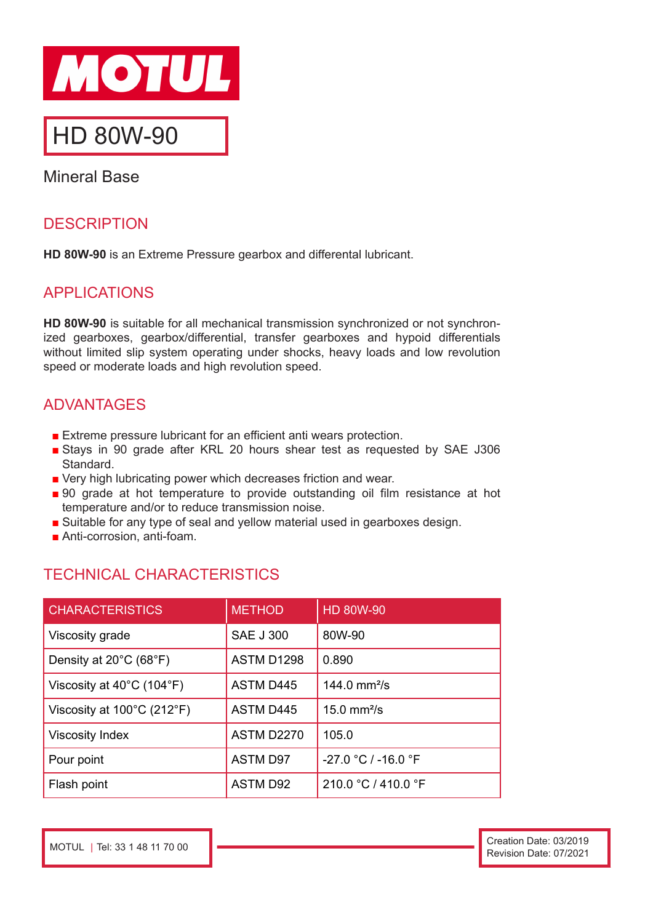

# HD 80W-90

Mineral Base

# **DESCRIPTION**

**HD 80W-90** is an Extreme Pressure gearbox and differental lubricant.

# APPLICATIONS

**HD 80W-90** is suitable for all mechanical transmission synchronized or not synchronized gearboxes, gearbox/differential, transfer gearboxes and hypoid differentials without limited slip system operating under shocks, heavy loads and low revolution speed or moderate loads and high revolution speed.

## ADVANTAGES

- Extreme pressure lubricant for an efficient anti wears protection.
- Stays in 90 grade after KRL 20 hours shear test as requested by SAE J306 **Standard**
- Very high lubricating power which decreases friction and wear.
- 90 grade at hot temperature to provide outstanding oil film resistance at hot temperature and/or to reduce transmission noise.
- Suitable for any type of seal and vellow material used in gearboxes design.
- Anti-corrosion, anti-foam.

# TECHNICAL CHARACTERISTICS

| <b>CHARACTERISTICS</b>                          | <b>METHOD</b>     | HD 80W-90                 |
|-------------------------------------------------|-------------------|---------------------------|
| Viscosity grade                                 | <b>SAE J 300</b>  | 80W-90                    |
| Density at $20^{\circ}$ C (68 $^{\circ}$ F)     | ASTM D1298        | 0.890                     |
| Viscosity at $40^{\circ}$ C (104 $^{\circ}$ F)  | <b>ASTM D445</b>  | 144.0 $mm^2/s$            |
| Viscosity at $100^{\circ}$ C (212 $^{\circ}$ F) | <b>ASTM D445</b>  | $15.0$ mm <sup>2</sup> /s |
| <b>Viscosity Index</b>                          | <b>ASTM D2270</b> | 105.0                     |
| Pour point                                      | <b>ASTM D97</b>   | $-27.0 °C / -16.0 °F$     |
| Flash point                                     | <b>ASTM D92</b>   | 210.0 °C / 410.0 °F       |

MOTUL | Tel: 33 1 48 11 70 00 Creation Date: 03/2019 Revision Date: 07/2021